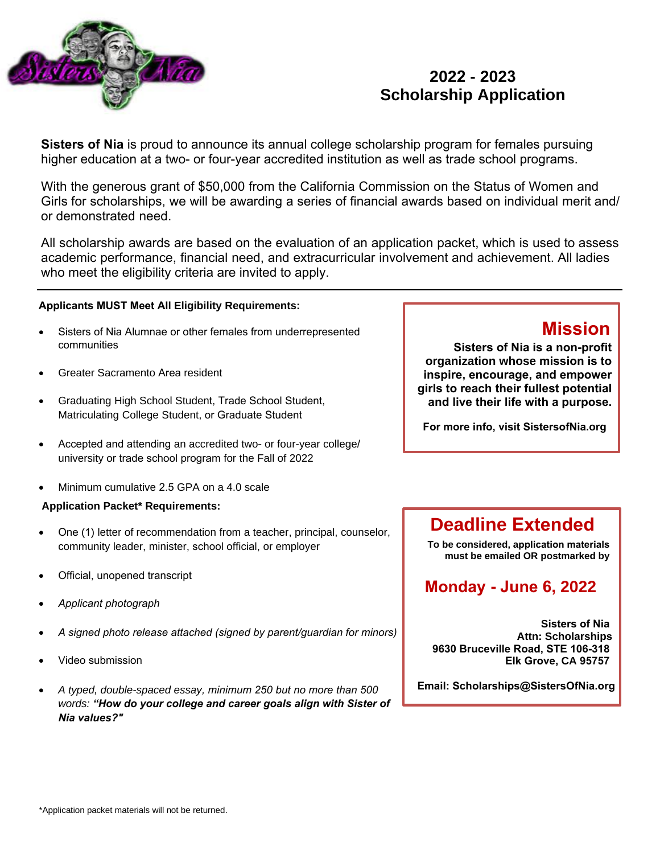

# **2022 - 2023 Scholarship Application**

**Sisters of Nia** is proud to announce its annual college scholarship program for females pursuing higher education at a two- or four-year accredited institution as well as trade school programs.

With the generous grant of \$50,000 from the California Commission on the Status of Women and Girls for scholarships, we will be awarding a series of financial awards based on individual merit and/ or demonstrated need.

All scholarship awards are based on the evaluation of an application packet, which is used to assess academic performance, financial need, and extracurricular involvement and achievement. All ladies who meet the eligibility criteria are invited to apply.

#### **Applicants MUST Meet All Eligibility Requirements:**

- Sisters of Nia Alumnae or other females from underrepresented communities
- Greater Sacramento Area resident
- Graduating High School Student, Trade School Student, Matriculating College Student, or Graduate Student
- Accepted and attending an accredited two- or four-year college/ university or trade school program for the Fall of 2022
- Minimum cumulative 2.5 GPA on a 4.0 scale

#### **Application Packet\* Requirements:**

- One (1) letter of recommendation from a teacher, principal, counselor, community leader, minister, school official, or employer
- Official, unopened transcript
- *Applicant photograph*
- *A signed photo release attached (signed by parent/guardian for minors)*
- Video submission
- *A typed, double-spaced essay, minimum 250 but no more than 500 words: "How do your college and career goals align with Sister of Nia values?"*

# **Mission**

**Sisters of Nia is a non-profit organization whose mission is to inspire, encourage, and empower girls to reach their fullest potential and live their life with a purpose.**

**For more info, visit SistersofNia.org**

# **Deadline Extended**

**To be considered, application materials must be emailed OR postmarked by**

# **Monday - June 6, 2022**

**Sisters of Nia Attn: Scholarships 9630 Bruceville Road, STE 106-318 Elk Grove, CA 95757**

**Email: Scholarships@SistersOfNia.org**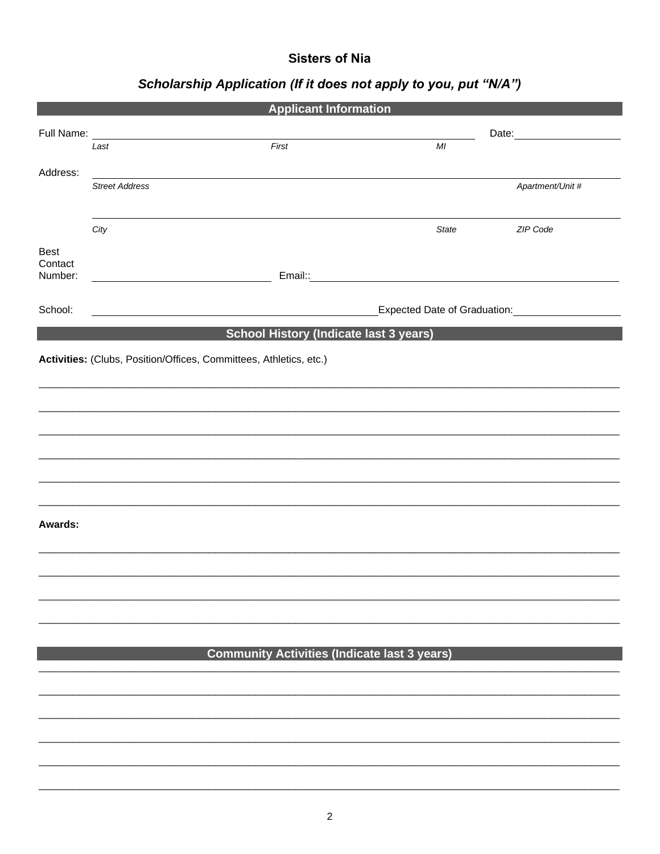## **Sisters of Nia**

# Scholarship Application (If it does not apply to you, put "N/A")

| <b>Applicant Information</b> |                                                                                                                                                                                                                                |                                                                    |                                                                                                                                                                                                                               |                  |
|------------------------------|--------------------------------------------------------------------------------------------------------------------------------------------------------------------------------------------------------------------------------|--------------------------------------------------------------------|-------------------------------------------------------------------------------------------------------------------------------------------------------------------------------------------------------------------------------|------------------|
|                              | Full Name: Name and Solid Name and Solid Name and Solid Name and Solid Name and Solid Name and Solid Name and Solid Name and Solid Name and Solid Name and Solid Name and Solid Name and Solid Name and Name and Solid Name an |                                                                    | Date: and the state of the state of the state of the state of the state of the state of the state of the state of the state of the state of the state of the state of the state of the state of the state of the state of the |                  |
|                              | Last                                                                                                                                                                                                                           | First                                                              | MI                                                                                                                                                                                                                            |                  |
| Address:                     | <b>Street Address</b>                                                                                                                                                                                                          |                                                                    |                                                                                                                                                                                                                               |                  |
|                              |                                                                                                                                                                                                                                |                                                                    |                                                                                                                                                                                                                               | Apartment/Unit # |
|                              | City                                                                                                                                                                                                                           |                                                                    | <b>State</b>                                                                                                                                                                                                                  | ZIP Code         |
| <b>Best</b>                  |                                                                                                                                                                                                                                |                                                                    |                                                                                                                                                                                                                               |                  |
| Contact<br>Number:           |                                                                                                                                                                                                                                |                                                                    | Email:: and a series of the series of the series of the series of the series of the series of the series of the                                                                                                               |                  |
| School:                      |                                                                                                                                                                                                                                |                                                                    | Expected Date of Graduation: Material Assembly                                                                                                                                                                                |                  |
|                              |                                                                                                                                                                                                                                | <b>School History (Indicate last 3 years)</b>                      |                                                                                                                                                                                                                               |                  |
|                              |                                                                                                                                                                                                                                | Activities: (Clubs, Position/Offices, Committees, Athletics, etc.) |                                                                                                                                                                                                                               |                  |
|                              |                                                                                                                                                                                                                                |                                                                    |                                                                                                                                                                                                                               |                  |
|                              |                                                                                                                                                                                                                                |                                                                    |                                                                                                                                                                                                                               |                  |
|                              |                                                                                                                                                                                                                                |                                                                    |                                                                                                                                                                                                                               |                  |
|                              |                                                                                                                                                                                                                                |                                                                    |                                                                                                                                                                                                                               |                  |
|                              |                                                                                                                                                                                                                                |                                                                    |                                                                                                                                                                                                                               |                  |
|                              |                                                                                                                                                                                                                                |                                                                    |                                                                                                                                                                                                                               |                  |
| Awards:                      |                                                                                                                                                                                                                                |                                                                    |                                                                                                                                                                                                                               |                  |
|                              |                                                                                                                                                                                                                                |                                                                    |                                                                                                                                                                                                                               |                  |
|                              |                                                                                                                                                                                                                                |                                                                    |                                                                                                                                                                                                                               |                  |
|                              |                                                                                                                                                                                                                                |                                                                    |                                                                                                                                                                                                                               |                  |
|                              |                                                                                                                                                                                                                                |                                                                    |                                                                                                                                                                                                                               |                  |
|                              |                                                                                                                                                                                                                                |                                                                    |                                                                                                                                                                                                                               |                  |
|                              |                                                                                                                                                                                                                                | <b>Community Activities (Indicate last 3 years)</b>                |                                                                                                                                                                                                                               |                  |
|                              |                                                                                                                                                                                                                                |                                                                    |                                                                                                                                                                                                                               |                  |
|                              |                                                                                                                                                                                                                                |                                                                    |                                                                                                                                                                                                                               |                  |
|                              |                                                                                                                                                                                                                                |                                                                    |                                                                                                                                                                                                                               |                  |
|                              |                                                                                                                                                                                                                                |                                                                    |                                                                                                                                                                                                                               |                  |
|                              |                                                                                                                                                                                                                                |                                                                    |                                                                                                                                                                                                                               |                  |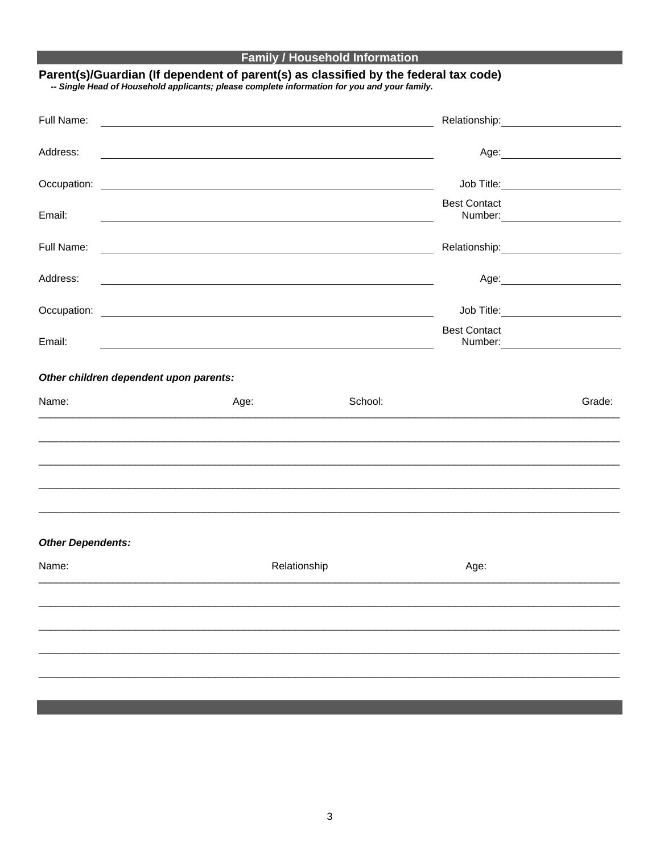## **Family / Household Information**

# Parent(s)/Guardian (If dependent of parent(s) as classified by the federal tax code)<br>- Single Head of Household applicants; please complete information for you and your family.

| Full Name:                             |                                                                                                                                                                                                                               |         |                                     |        |
|----------------------------------------|-------------------------------------------------------------------------------------------------------------------------------------------------------------------------------------------------------------------------------|---------|-------------------------------------|--------|
| Address:                               | the control of the control of the control of the control of the control of the control of the control of the control of the control of the control of the control of the control of the control of the control of the control |         |                                     |        |
|                                        |                                                                                                                                                                                                                               |         | Job Title: _______________________  |        |
| Email:                                 |                                                                                                                                                                                                                               |         | <b>Best Contact</b>                 |        |
| Full Name:                             | <u> 1989 - Jan Samuel Barbara, martin da shekara 1989 - An tsara 1989 - An tsara 1989 - An tsara 1989 - An tsara</u>                                                                                                          |         |                                     |        |
| Address:                               | <u> 1989 - Johann Barn, amerikan bernama di sebagai bernama di sebagai bernama di sebagai bernama di sebagai ber</u>                                                                                                          |         |                                     |        |
|                                        |                                                                                                                                                                                                                               |         | Job Title: ________________________ |        |
| Email:                                 |                                                                                                                                                                                                                               |         | <b>Best Contact</b>                 |        |
|                                        |                                                                                                                                                                                                                               |         |                                     |        |
| Other children dependent upon parents: |                                                                                                                                                                                                                               |         |                                     |        |
| Name:                                  | Age:                                                                                                                                                                                                                          | School: |                                     | Grade: |
|                                        |                                                                                                                                                                                                                               |         |                                     |        |
|                                        |                                                                                                                                                                                                                               |         |                                     |        |
|                                        |                                                                                                                                                                                                                               |         |                                     |        |
|                                        |                                                                                                                                                                                                                               |         |                                     |        |
| <b>Other Dependents:</b>               |                                                                                                                                                                                                                               |         |                                     |        |
| Name:                                  | Relationship                                                                                                                                                                                                                  |         | Age:                                |        |
|                                        |                                                                                                                                                                                                                               |         |                                     |        |
|                                        |                                                                                                                                                                                                                               |         |                                     |        |
|                                        |                                                                                                                                                                                                                               |         |                                     |        |
|                                        |                                                                                                                                                                                                                               |         |                                     |        |
|                                        |                                                                                                                                                                                                                               |         |                                     |        |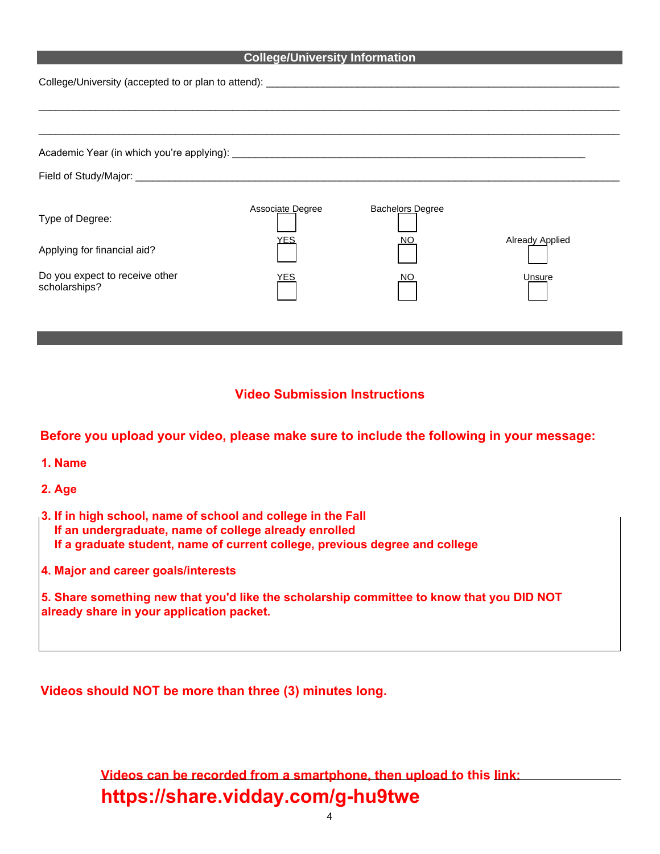#### **College/University Information**

| College/University (accepted to or plan to attend): _____________________________ |                  |                  |                        |  |  |  |
|-----------------------------------------------------------------------------------|------------------|------------------|------------------------|--|--|--|
|                                                                                   |                  |                  |                        |  |  |  |
|                                                                                   |                  |                  |                        |  |  |  |
|                                                                                   |                  |                  |                        |  |  |  |
| Type of Degree:                                                                   | Associate Degree | Bachelors Degree |                        |  |  |  |
| Applying for financial aid?                                                       | YES              | NO               | <b>Already Applied</b> |  |  |  |
| Do you expect to receive other<br>scholarships?                                   | ⁄ES              | NO               | Unsure                 |  |  |  |

### **Video Submission Instructions**

**Before you upload your video, please make sure to include the following in your message:**

- **1. Name**
- **2. Age**
- **3. If in high school, name of school and college in the Fall If an undergraduate, name of college already enrolled If a graduate student, name of current college, previous degree and college**
- **4. Major and career goals/interests**

**5. Share something new that you'd like the scholarship committee to know that you DID NOT already share in your application packet.**

**Videos should NOT be more than three (3) minutes long.**

**Videos can be recorded from a smartphone, then upload to this link: https://share.vidday.com/g-hu9twe**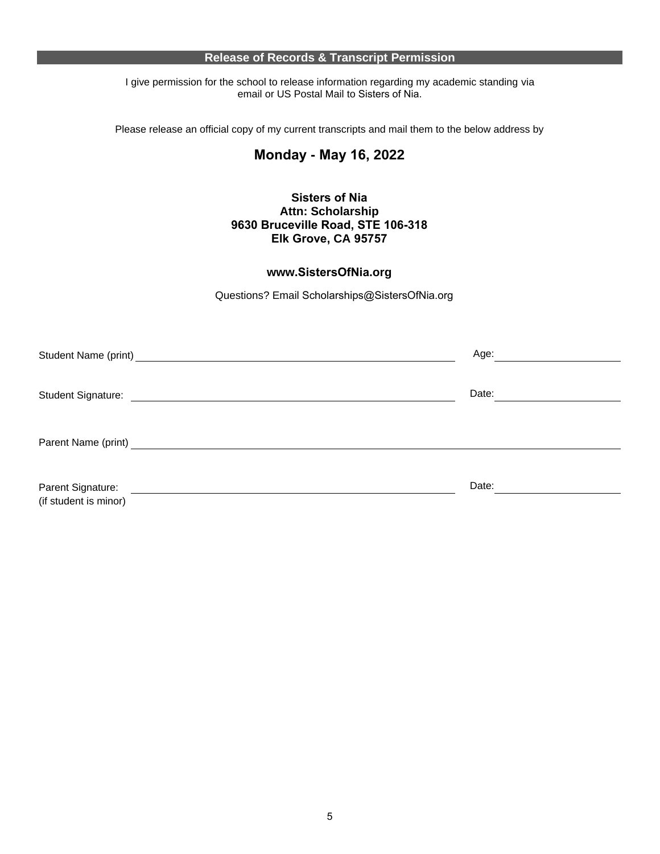#### **Release of Records & Transcript Permission**

I give permission for the school to release information regarding my academic standing via email or US Postal Mail to Sisters of Nia.

Please release an official copy of my current transcripts and mail them to the below address by

## **Monday - May 16, 2022**

#### **Sisters of Nia Attn: Scholarship 9630 Bruceville Road, STE 106-318 Elk Grove, CA 95757**

## **www.SistersOfNia.org**

Questions? Email Scholarships@SistersOfNia.org

| Student Name (print)                       | Age:  |
|--------------------------------------------|-------|
| Student Signature:                         | Date: |
|                                            |       |
| Parent Signature:<br>(if student is minor) | Date: |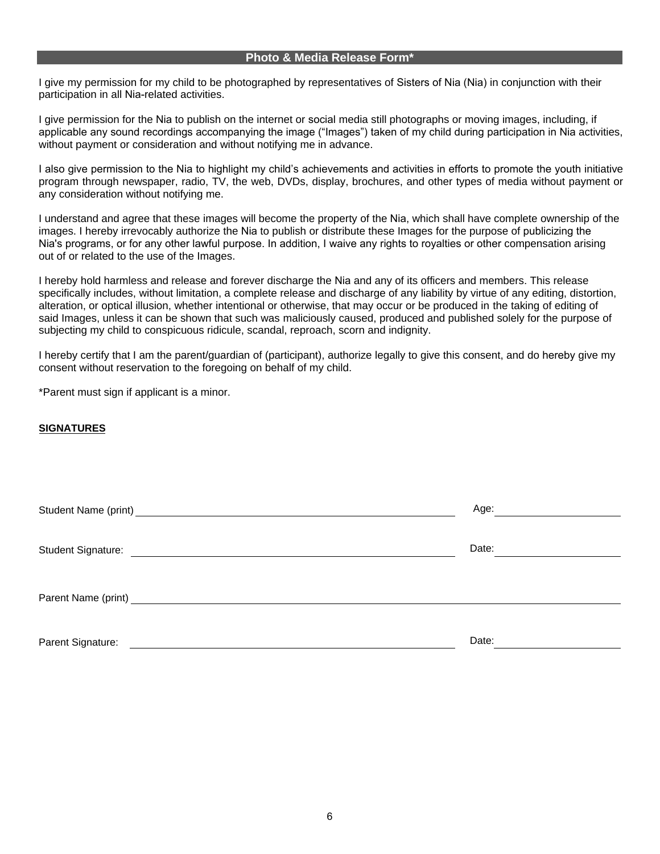#### **Photo & Media Release Form\***

I give my permission for my child to be photographed by representatives of Sisters of Nia (Nia) in conjunction with their participation in all Nia-related activities.

I give permission for the Nia to publish on the internet or social media still photographs or moving images, including, if applicable any sound recordings accompanying the image ("Images") taken of my child during participation in Nia activities, without payment or consideration and without notifying me in advance.

I also give permission to the Nia to highlight my child's achievements and activities in efforts to promote the youth initiative program through newspaper, radio, TV, the web, DVDs, display, brochures, and other types of media without payment or any consideration without notifying me.

I understand and agree that these images will become the property of the Nia, which shall have complete ownership of the images. I hereby irrevocably authorize the Nia to publish or distribute these Images for the purpose of publicizing the Nia's programs, or for any other lawful purpose. In addition, I waive any rights to royalties or other compensation arising out of or related to the use of the Images.

I hereby hold harmless and release and forever discharge the Nia and any of its officers and members. This release specifically includes, without limitation, a complete release and discharge of any liability by virtue of any editing, distortion, alteration, or optical illusion, whether intentional or otherwise, that may occur or be produced in the taking of editing of said Images, unless it can be shown that such was maliciously caused, produced and published solely for the purpose of subjecting my child to conspicuous ridicule, scandal, reproach, scorn and indignity.

I hereby certify that I am the parent/guardian of (participant), authorize legally to give this consent, and do hereby give my consent without reservation to the foregoing on behalf of my child.

\*Parent must sign if applicant is a minor.

#### **SIGNATURES**

| Student Name (print) Student Name (print)        | Age:  |
|--------------------------------------------------|-------|
| Student Signature:                               | Date: |
| Parent Name (print)<br><u>Land Communication</u> |       |
| Parent Signature:                                | Date: |